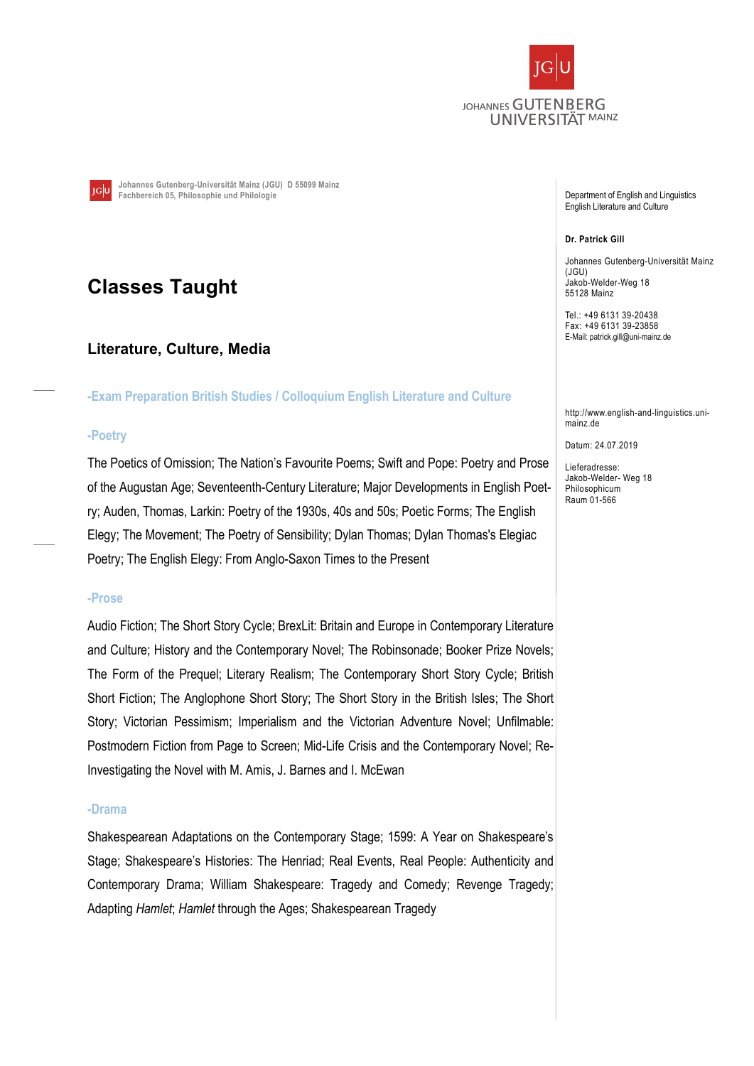

Johannes Gutenberg-Universität Mainz (JGU) D 55099 Mainz **TGU** Fachbereich 05, Philosophie und Philologie

# Classes Taught

# Literature, Culture, Media

-Exam Preparation British Studies / Colloquium English Literature and Culture

#### -Poetry

The Poetics of Omission; The Nation's Favourite Poems; Swift and Pope: Poetry and Prose of the Augustan Age; Seventeenth-Century Literature; Major Developments in English Poetry; Auden, Thomas, Larkin: Poetry of the 1930s, 40s and 50s; Poetic Forms; The English Elegy; The Movement; The Poetry of Sensibility; Dylan Thomas; Dylan Thomas's Elegiac Poetry; The English Elegy: From Anglo-Saxon Times to the Present

#### -Prose

Audio Fiction; The Short Story Cycle; BrexLit: Britain and Europe in Contemporary Literature and Culture; History and the Contemporary Novel; The Robinsonade; Booker Prize Novels; The Form of the Prequel; Literary Realism; The Contemporary Short Story Cycle; British Short Fiction; The Anglophone Short Story; The Short Story in the British Isles; The Short Story; Victorian Pessimism; Imperialism and the Victorian Adventure Novel; Unfilmable: Postmodern Fiction from Page to Screen; Mid-Life Crisis and the Contemporary Novel; Re-Investigating the Novel with M. Amis, J. Barnes and I. McEwan

#### -Drama

Shakespearean Adaptations on the Contemporary Stage; 1599: A Year on Shakespeare's Stage; Shakespeare's Histories: The Henriad; Real Events, Real People: Authenticity and Contemporary Drama; William Shakespeare: Tragedy and Comedy; Revenge Tragedy; Adapting Hamlet; Hamlet through the Ages; Shakespearean Tragedy

Department of English and Linguistics English Literature and Culture

#### Dr. Patrick Gill

Johannes Gutenberg-Universität Mainz (JGU) Jakob-Welder-Weg 18 55128 Mainz

Tel.: +49 6131 39-20438 Fax: +49 6131 39-23858 E-Mail: patrick.gill@uni-mainz.de

http://www.english-and-linguistics.unimainz.de

Datum: 24.07.2019

Lieferadresse: Jakob-Welder- Weg 18 Philosophicum Raum 01-566